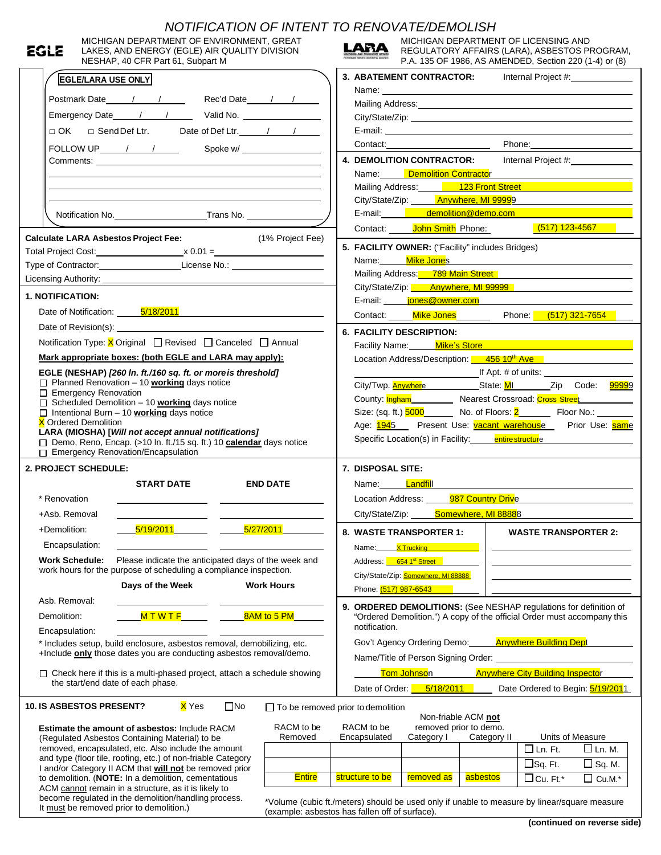| MICHIGAN DEPARTMENT OF ENVIRONMENT, GREAT<br>EGLE<br>LAKES, AND ENERGY (EGLE) AIR QUALITY DIVISION                              | NOTIFICATION OF INTENT TO RENOVATE/DEMOLISH<br>MICHIGAN DEPARTMENT OF LICENSING AND<br>LARA<br>REGULATORY AFFAIRS (LARA), ASBESTOS PROGRAM,                                                                                   |  |  |  |  |
|---------------------------------------------------------------------------------------------------------------------------------|-------------------------------------------------------------------------------------------------------------------------------------------------------------------------------------------------------------------------------|--|--|--|--|
| NESHAP, 40 CFR Part 61, Subpart M                                                                                               | P.A. 135 OF 1986, AS AMENDED, Section 220 (1-4) or (8)                                                                                                                                                                        |  |  |  |  |
| <b>EGLE/LARA USE ONLY</b>                                                                                                       | 3. ABATEMENT CONTRACTOR:<br>Internal Project #:                                                                                                                                                                               |  |  |  |  |
| Postmark Date 1 1 1 Rec'd Date 1 1                                                                                              |                                                                                                                                                                                                                               |  |  |  |  |
|                                                                                                                                 |                                                                                                                                                                                                                               |  |  |  |  |
|                                                                                                                                 |                                                                                                                                                                                                                               |  |  |  |  |
|                                                                                                                                 | Contact: Phone: Phone:                                                                                                                                                                                                        |  |  |  |  |
|                                                                                                                                 | 4. DEMOLITION CONTRACTOR: Internal Project #: 1992                                                                                                                                                                            |  |  |  |  |
|                                                                                                                                 | Name: <u>Demolition Contractor</u><br>Mailing Address: 123 Front Street 11 12 12 12 12 13 12 13 13 14 15 16 17 18 19 19 19 19 19 19 19 19 19 19 19 1                                                                          |  |  |  |  |
|                                                                                                                                 |                                                                                                                                                                                                                               |  |  |  |  |
|                                                                                                                                 | City/State/Zip: <b>Anywhere, MI 99999</b>                                                                                                                                                                                     |  |  |  |  |
|                                                                                                                                 | E-mail: demolition@demo.com                                                                                                                                                                                                   |  |  |  |  |
|                                                                                                                                 | <mark>(517) 123-4567</mark><br>Contact: <b>John Smith</b> Phone:                                                                                                                                                              |  |  |  |  |
| <b>Calculate LARA Asbestos Project Fee:</b><br>(1% Project Fee)                                                                 | 5. FACILITY OWNER: ("Facility" includes Bridges)                                                                                                                                                                              |  |  |  |  |
| Total Project Cost: x 0.01 =<br>Type of Contractor: License No.: License No.:                                                   | Name: Mike Jones                                                                                                                                                                                                              |  |  |  |  |
|                                                                                                                                 | Mailing Address: 789 Main Street                                                                                                                                                                                              |  |  |  |  |
|                                                                                                                                 | City/State/Zip: <b>Anywhere, MI 99999</b>                                                                                                                                                                                     |  |  |  |  |
| 1. NOTIFICATION:                                                                                                                | E-mail: <b>iones@owner.com</b>                                                                                                                                                                                                |  |  |  |  |
| Date of Notification: 5/18/2011                                                                                                 | Contact: Mike Jones Phone: (517) 321-7654                                                                                                                                                                                     |  |  |  |  |
|                                                                                                                                 | <b>6. FACILITY DESCRIPTION:</b>                                                                                                                                                                                               |  |  |  |  |
| Notification Type: X Original □ Revised □ Canceled □ Annual                                                                     | Facility Name: Mike's Store Management of the Management of the Management of the Management of the Management of the Management of the Management of the Management of the Management of the Management of the Management of |  |  |  |  |
| Mark appropriate boxes: (both EGLE and LARA may apply):                                                                         | Location Address/Description: 456 10 <sup>th</sup> Ave<br>City/Twp. <b>Anywhere</b> ________________State: MI___________Zip Code: 99999<br>County: Ingham Nearest Crossroad: Cross Street                                     |  |  |  |  |
| EGLE (NESHAP) [260 In. ft./160 sq. ft. or more is threshold]                                                                    |                                                                                                                                                                                                                               |  |  |  |  |
| $\Box$ Planned Renovation - 10 <b>working</b> days notice<br>□ Emergency Renovation                                             |                                                                                                                                                                                                                               |  |  |  |  |
| $\Box$ Scheduled Demolition - 10 <b>working</b> days notice                                                                     |                                                                                                                                                                                                                               |  |  |  |  |
| $\Box$ Intentional Burn - 10 <b>working</b> days notice<br><b>X</b> Ordered Demolition                                          |                                                                                                                                                                                                                               |  |  |  |  |
| LARA (MIOSHA) [Will not accept annual notifications]                                                                            | Age: <b>1945</b> Present Use: <b>vacant warehouse</b> Prior Use: <b>same</b>                                                                                                                                                  |  |  |  |  |
|                                                                                                                                 |                                                                                                                                                                                                                               |  |  |  |  |
| Demo, Reno, Encap. (>10 In. ft./15 sq. ft.) 10 calendar days notice                                                             | Specific Location(s) in Facility: entirestructure                                                                                                                                                                             |  |  |  |  |
| □ Emergency Renovation/Encapsulation                                                                                            |                                                                                                                                                                                                                               |  |  |  |  |
| 2. PROJECT SCHEDULE:                                                                                                            | <b>7. DISPOSAL SITE:</b>                                                                                                                                                                                                      |  |  |  |  |
| <b>START DATE</b><br><b>END DATE</b>                                                                                            | Name: <mark>Landfil</mark> l                                                                                                                                                                                                  |  |  |  |  |
| * Renovation                                                                                                                    | Location Address: _____<br><b>987 Country Drive</b>                                                                                                                                                                           |  |  |  |  |
| +Asb. Removal                                                                                                                   | City/State/Zip: <b>Somewhere, MI 88888</b>                                                                                                                                                                                    |  |  |  |  |
| 5/27/2011<br>5/19/2011<br>+Demolition:                                                                                          | <b>WASTE TRANSPORTER 2:</b><br>8. WASTE TRANSPORTER 1:                                                                                                                                                                        |  |  |  |  |
| Encapsulation:                                                                                                                  | <b>X Trucking the Contract Structure</b><br>Name:                                                                                                                                                                             |  |  |  |  |
| Please indicate the anticipated days of the week and<br><b>Work Schedule:</b>                                                   | Address: 654 1st Street                                                                                                                                                                                                       |  |  |  |  |
| work hours for the purpose of scheduling a compliance inspection.                                                               | City/State/Zip: Somewhere, MI 88888                                                                                                                                                                                           |  |  |  |  |
| Days of the Week<br><b>Work Hours</b>                                                                                           | Phone: (517) 987-6543                                                                                                                                                                                                         |  |  |  |  |
| Asb. Removal:                                                                                                                   |                                                                                                                                                                                                                               |  |  |  |  |
| 8AM to 5 PM<br>$M$ T $W$ T F<br>Demolition:                                                                                     | 9. ORDERED DEMOLITIONS: (See NESHAP regulations for definition of<br>"Ordered Demolition.") A copy of the official Order must accompany this                                                                                  |  |  |  |  |
| Encapsulation:                                                                                                                  | notification.                                                                                                                                                                                                                 |  |  |  |  |
| * Includes setup, build enclosure, asbestos removal, demobilizing, etc.                                                         | <b>Anywhere Building Dept</b><br>Gov't Agency Ordering Demo:                                                                                                                                                                  |  |  |  |  |
| +Include only those dates you are conducting asbestos removal/demo.                                                             | Name/Title of Person Signing Order:                                                                                                                                                                                           |  |  |  |  |
| $\Box$ Check here if this is a multi-phased project, attach a schedule showing                                                  | <b>Anywhere City Building Inspector</b><br><b>Tom Johnso</b> n                                                                                                                                                                |  |  |  |  |
| the start/end date of each phase.                                                                                               | Date of Order: 5/18/2011<br>Date Ordered to Begin: 5/19/2011                                                                                                                                                                  |  |  |  |  |
| X Yes<br><b>10. IS ASBESTOS PRESENT?</b><br>$\square$ No                                                                        | $\Box$ To be removed prior to demolition                                                                                                                                                                                      |  |  |  |  |
|                                                                                                                                 | Non-friable ACM not                                                                                                                                                                                                           |  |  |  |  |
| RACM to be<br>Estimate the amount of asbestos: Include RACM<br>Removed                                                          | RACM to be<br>removed prior to demo.                                                                                                                                                                                          |  |  |  |  |
| (Regulated Asbestos Containing Material) to be<br>removed, encapsulated, etc. Also include the amount                           | Units of Measure<br>Encapsulated<br>Category I<br>Category II<br>$\Box$ Ln. Ft.<br>$\square$ Ln. M.                                                                                                                           |  |  |  |  |
| and type (floor tile, roofing, etc.) of non-friable Category                                                                    | $\square$ Sq. Ft.                                                                                                                                                                                                             |  |  |  |  |
| I and/or Category II ACM that will not be removed prior<br><b>Entire</b><br>to demolition. (NOTE: In a demolition, cementatious | $\square$ Sq. M.<br>structure to be<br>removed as<br>asbestos<br>$\Box$ Cu. Ft.*<br>$\Box$ Cu.M.*                                                                                                                             |  |  |  |  |
| ACM cannot remain in a structure, as it is likely to<br>become regulated in the demolition/handling process.                    | *Volume (cubic ft./meters) should be used only if unable to measure by linear/square measure                                                                                                                                  |  |  |  |  |